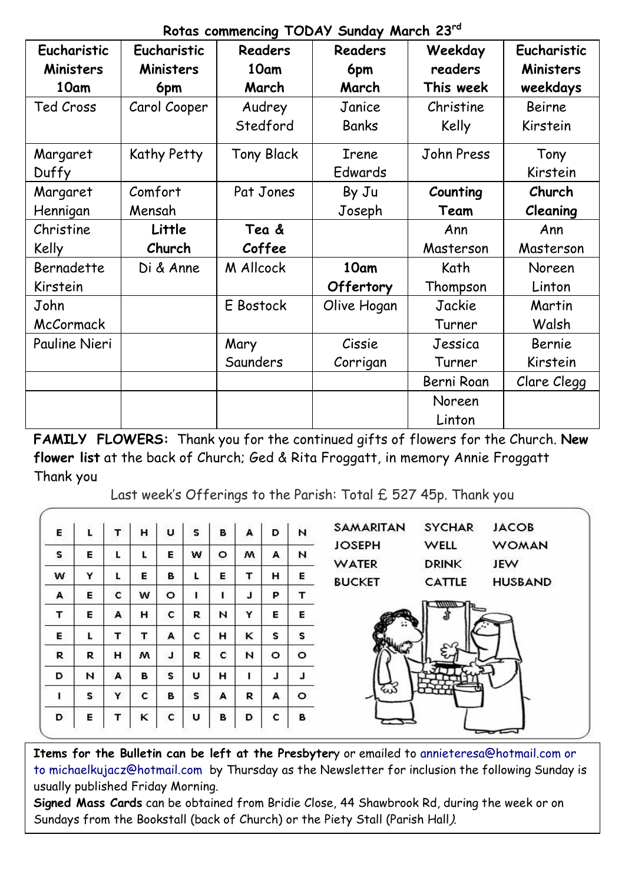**Rotas commencing TODAY Sunday March 23rd**

| Eucharistic      | Eucharistic  | <b>Readers</b>    | Readers     | Weekday    | Eucharistic |  |
|------------------|--------------|-------------------|-------------|------------|-------------|--|
| <b>Ministers</b> | Ministers    | 10am              | 6pm         | readers    | Ministers   |  |
| 10am             | 6pm          | March             | March       | This week  | weekdays    |  |
| Ted Cross        | Carol Cooper | Audrey            | Janice      | Christine  | Beirne      |  |
|                  |              | Stedford          | Banks       | Kelly      | Kirstein    |  |
| Margaret         | Kathy Petty  | <b>Tony Black</b> | Irene       | John Press | Tony        |  |
| Duffy            |              |                   | Edwards     |            | Kirstein    |  |
| Margaret         | Comfort      | Pat Jones         | By Ju       | Counting   | Church      |  |
| Hennigan         | Mensah       |                   | Joseph      | Team       | Cleaning    |  |
| Christine        | Little       | Tea &             |             | Ann        | Ann         |  |
| Kelly            | Church       | Coffee            |             | Masterson  | Masterson   |  |
| Bernadette       | Di & Anne    | M Allcock         | 10am        | Kath       | Noreen      |  |
| Kirstein         |              |                   | Offertory   | Thompson   | Linton      |  |
| John             |              | E Bostock         | Olive Hogan | Jackie     | Martin      |  |
| McCormack        |              |                   |             | Turner     | Walsh       |  |
| Pauline Nieri    |              | Mary              | Cissie      | Jessica    | Bernie      |  |
|                  |              | Saunders          | Corrigan    | Turner     | Kirstein    |  |
|                  |              |                   |             | Berni Roan | Clare Clegg |  |
|                  |              |                   |             | Noreen     |             |  |
|                  |              |                   |             | Linton     |             |  |

**FAMILY FLOWERS:** Thank you for the continued gifts of flowers for the Church. **New flower list** at the back of Church; Ged & Rita Froggatt, in memory Annie Froggatt Thank you

Last week's Offerings to the Parish: Total £ 527 45p. Thank you

| E | L | т | н | U | s | в | A | D | И |
|---|---|---|---|---|---|---|---|---|---|
| s | E | L | L | E | w | ۰ | м | А | И |
| w | Y | L | E | в | L | E | т | н | E |
| А | E | c | w | o | ı | ı | J | P | т |
| т | E | A | н | c | R | И | Y | E | E |
| E | L | т | т | A | c | н | κ | s | s |
| R | R | н | м | J | R | c | N | ۰ | ۰ |
| D | N | А | в | s | υ | н | ī | J | J |
| ī | s | Y | c | в | s | А | R | A | o |
| D | E | T | κ | c | U | в | D | c | в |



**Items for the Bulletin can be left at the Presbyter**y or emailed to [annieteresa@hotmail.com or](mailto:annieteresa@hotmail.com%20or%20to%20michaelkujacz@hotmail.com%20%20b)  [to michaelkujacz@hotmail.com by](mailto:annieteresa@hotmail.com%20or%20to%20michaelkujacz@hotmail.com%20%20b) Thursday as the Newsletter for inclusion the following Sunday is usually published Friday Morning.

**Signed Mass Cards** can be obtained from Bridie Close, 44 Shawbrook Rd, during the week or on Sundays from the Bookstall (back of Church) or the Piety Stall (Parish Hall).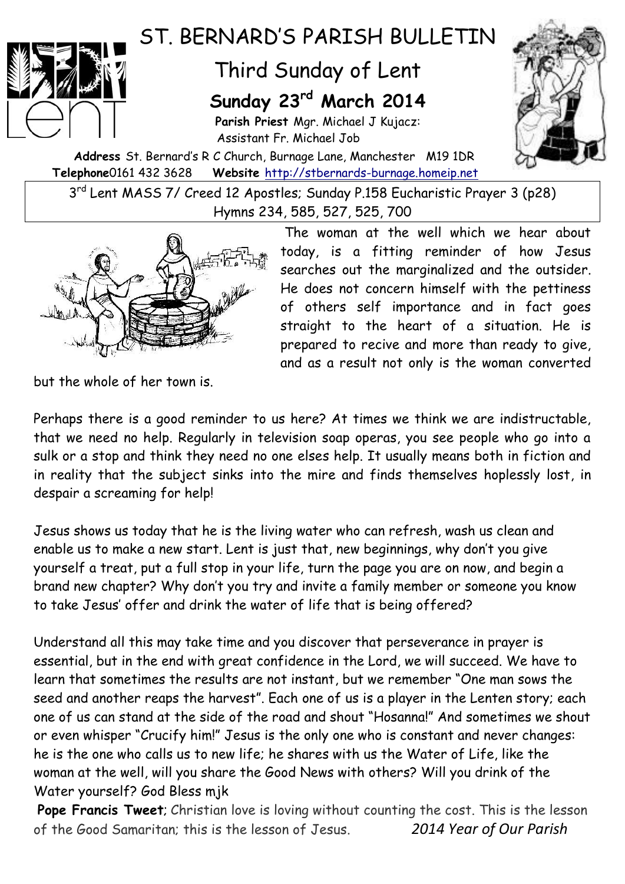

## ST. BERNARD'S PARISH BULLETIN

## Third Sunday of Lent

## **Sunday 23rd March 2014**

**Parish Priest** Mgr. Michael J Kujacz: Assistant Fr. Michael Job

**Address** St. Bernard's R C Church, Burnage Lane, Manchester M19 1DR **Telephone**0161 432 3628 **Website** [http://stbernards-burnage.homeip.net](http://stbernards-burnage.homeip.net/)

3<sup>rd</sup> Lent MASS 7/ Creed 12 Apostles; Sunday P.158 Eucharistic Prayer 3 (p28) Hymns 234, 585, 527, 525, 700



The woman at the well which we hear about today, is a fitting reminder of how Jesus searches out the marginalized and the outsider. He does not concern himself with the pettiness of others self importance and in fact goes straight to the heart of a situation. He is prepared to recive and more than ready to give, and as a result not only is the woman converted

but the whole of her town is.

Perhaps there is a good reminder to us here? At times we think we are indistructable, that we need no help. Regularly in television soap operas, you see people who go into a sulk or a stop and think they need no one elses help. It usually means both in fiction and in reality that the subject sinks into the mire and finds themselves hoplessly lost, in despair a screaming for help!

Jesus shows us today that he is the living water who can refresh, wash us clean and enable us to make a new start. Lent is just that, new beginnings, why don't you give yourself a treat, put a full stop in your life, turn the page you are on now, and begin a brand new chapter? Why don't you try and invite a family member or someone you know to take Jesus' offer and drink the water of life that is being offered?

Understand all this may take time and you discover that perseverance in prayer is essential, but in the end with great confidence in the Lord, we will succeed. We have to learn that sometimes the results are not instant, but we remember "One man sows the seed and another reaps the harvest". Each one of us is a player in the Lenten story; each one of us can stand at the side of the road and shout "Hosanna!" And sometimes we shout or even whisper "Crucify him!" Jesus is the only one who is constant and never changes: he is the one who calls us to new life; he shares with us the Water of Life, like the woman at the well, will you share the Good News with others? Will you drink of the Water yourself? God Bless mjk

**Pope Francis Tweet**; Christian love is loving without counting the cost. This is the lesson of the Good Samaritan; this is the lesson of Jesus. *2014 Year of Our Parish*

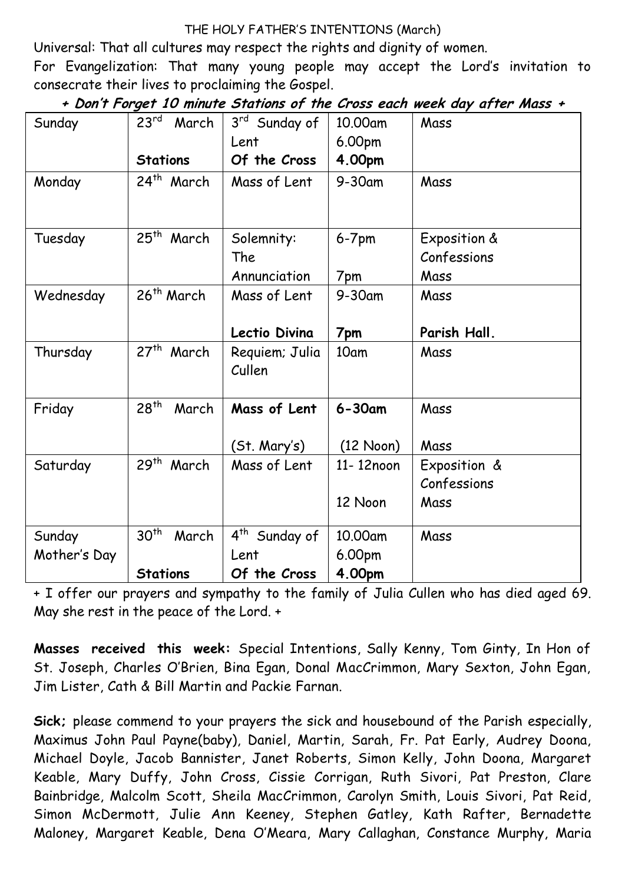## THE HOLY FATHER'S INTENTIONS (March)

Universal: That all cultures may respect the rights and dignity of women.

For Evangelization: That many young people may accept the Lord's invitation to consecrate their lives to proclaiming the Gospel.

| + Don't Forget 10 minute Stations of the Cross each week day after Mass + |  |  |
|---------------------------------------------------------------------------|--|--|
|---------------------------------------------------------------------------|--|--|

|              | 23 <sup>rd</sup><br>March |                           | 10.00am             | Mass         |
|--------------|---------------------------|---------------------------|---------------------|--------------|
| Sunday       |                           | 3rd Sunday of             |                     |              |
|              |                           | Lent                      | 6.00pm              |              |
|              | <b>Stations</b>           | Of the Cross              | 4.00pm              |              |
| Monday       | 24 <sup>th</sup> March    | Mass of Lent              | $9-30$ am           | Mass         |
|              |                           |                           |                     |              |
|              |                           |                           |                     |              |
| Tuesday      | 25 <sup>th</sup><br>March | Solemnity:                | $6-7$ pm            | Exposition & |
|              |                           | The                       |                     | Confessions  |
|              |                           | Annunciation              | 7pm                 | Mass         |
| Wednesday    | 26 <sup>th</sup> March    | Mass of Lent              | 9-30am              | Mass         |
|              |                           |                           |                     |              |
|              |                           | Lectio Divina             | 7pm                 | Parish Hall. |
| Thursday     | 27 <sup>th</sup><br>March | Requiem; Julia            | 10am                | Mass         |
|              |                           | Cullen                    |                     |              |
|              |                           |                           |                     |              |
| Friday       | 28 <sup>th</sup><br>March | Mass of Lent              | $6 - 30$ am         | Mass         |
|              |                           |                           |                     |              |
|              |                           | (St. Mary's)              | $(12 \text{ Noon})$ | Mass         |
| Saturday     | 29 <sup>th</sup><br>March | Mass of Lent              | 11-12noon           | Exposition & |
|              |                           |                           |                     | Confessions  |
|              |                           |                           | 12 Noon             | Mass         |
|              |                           |                           |                     |              |
| Sunday       | 30 <sup>th</sup><br>March | 4 <sup>th</sup> Sunday of | 10.00am             | Mass         |
| Mother's Day |                           | Lent                      | 6.00pm              |              |
|              | <b>Stations</b>           | Of the Cross              | 4.00pm              |              |

+ I offer our prayers and sympathy to the family of Julia Cullen who has died aged 69. May she rest in the peace of the Lord. +

**Masses received this week:** Special Intentions, Sally Kenny, Tom Ginty, In Hon of St. Joseph, Charles O'Brien, Bina Egan, Donal MacCrimmon, Mary Sexton, John Egan, Jim Lister, Cath & Bill Martin and Packie Farnan.

**Sick;** please commend to your prayers the sick and housebound of the Parish especially, Maximus John Paul Payne(baby), Daniel, Martin, Sarah, Fr. Pat Early, Audrey Doona, Michael Doyle, Jacob Bannister, Janet Roberts, Simon Kelly, John Doona, Margaret Keable, Mary Duffy, John Cross, Cissie Corrigan, Ruth Sivori, Pat Preston, Clare Bainbridge, Malcolm Scott, Sheila MacCrimmon, Carolyn Smith, Louis Sivori, Pat Reid, Simon McDermott, Julie Ann Keeney, Stephen Gatley, Kath Rafter, Bernadette Maloney, Margaret Keable, Dena O'Meara, Mary Callaghan, Constance Murphy, Maria